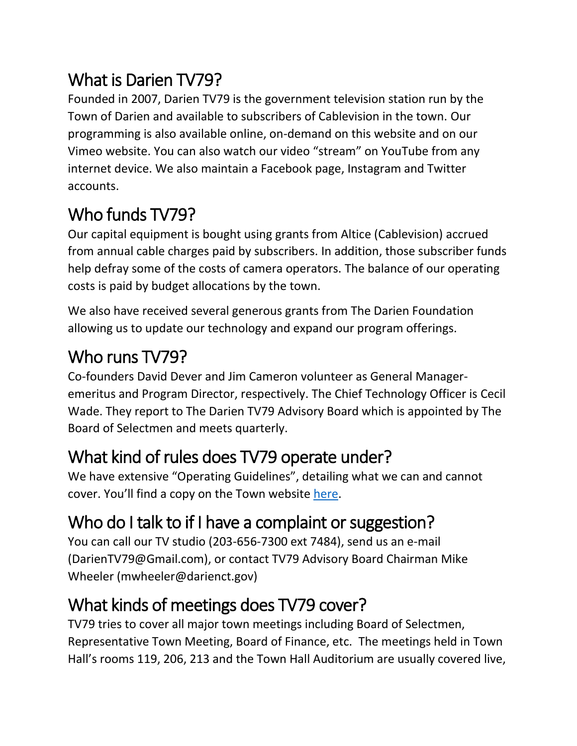# What is Darien TV79?

Founded in 2007, Darien TV79 is the government television station run by the Town of Darien and available to subscribers of Cablevision in the town. Our programming is also available online, on-demand on this website and on our Vimeo website. You can also watch our video "stream" on YouTube from any internet device. We also maintain a Facebook page, Instagram and Twitter accounts.

# Who funds TV79?

Our capital equipment is bought using grants from Altice (Cablevision) accrued from annual cable charges paid by subscribers. In addition, those subscriber funds help defray some of the costs of camera operators. The balance of our operating costs is paid by budget allocations by the town.

We also have received several generous grants from The Darien Foundation allowing us to update our technology and expand our program offerings.

### Who runs TV79?

Co-founders David Dever and Jim Cameron volunteer as General Manageremeritus and Program Director, respectively. The Chief Technology Officer is Cecil Wade. They report to The Darien TV79 Advisory Board which is appointed by The Board of Selectmen and meets quarterly.

# What kind of rules does TV79 operate under?

We have extensive "Operating Guidelines", detailing what we can and cannot cover. You'll find a copy on the Town website [here.](http://www.darienct.gov/filestorage/28565/28567/30219/DGAT_Guidelines_-_Version_7_updated_last_pg_3-25-19.pdf)

# Who do I talk to if I have a complaint or suggestion?

You can call our TV studio (203-656-7300 ext 7484), send us an e-mail (DarienTV79@Gmail.com), or contact TV79 Advisory Board Chairman Mike Wheeler (mwheeler@darienct.gov)

# What kinds of meetings does TV79 cover?

TV79 tries to cover all major town meetings including Board of Selectmen, Representative Town Meeting, Board of Finance, etc. The meetings held in Town Hall's rooms 119, 206, 213 and the Town Hall Auditorium are usually covered live,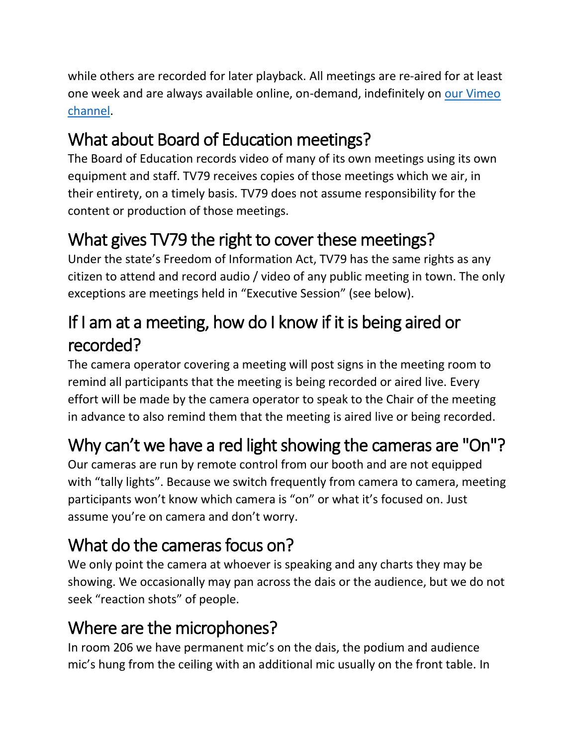while others are recorded for later playback. All meetings are re-aired for at least one week and are always available online, on-demand, indefinitely on [our Vimeo](https://vimeo.com/user36218936/videos)  [channel.](https://vimeo.com/user36218936/videos)

# What about Board of Education meetings?

The Board of Education records video of many of its own meetings using its own equipment and staff. TV79 receives copies of those meetings which we air, in their entirety, on a timely basis. TV79 does not assume responsibility for the content or production of those meetings.

### What gives TV79 the right to cover these meetings?

Under the state's Freedom of Information Act, TV79 has the same rights as any citizen to attend and record audio / video of any public meeting in town. The only exceptions are meetings held in "Executive Session" (see below).

# If I am at a meeting, how do I know if it is being aired or recorded?

The camera operator covering a meeting will post signs in the meeting room to remind all participants that the meeting is being recorded or aired live. Every effort will be made by the camera operator to speak to the Chair of the meeting in advance to also remind them that the meeting is aired live or being recorded.

# Why can't we have a red light showing the cameras are "On"?

Our cameras are run by remote control from our booth and are not equipped with "tally lights". Because we switch frequently from camera to camera, meeting participants won't know which camera is "on" or what it's focused on. Just assume you're on camera and don't worry.

# What do the cameras focus on?

We only point the camera at whoever is speaking and any charts they may be showing. We occasionally may pan across the dais or the audience, but we do not seek "reaction shots" of people.

### Where are the microphones?

In room 206 we have permanent mic's on the dais, the podium and audience mic's hung from the ceiling with an additional mic usually on the front table. In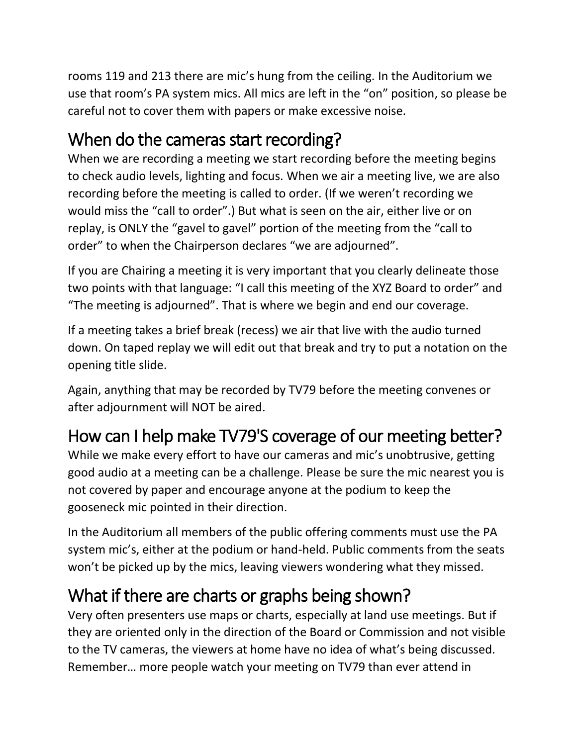rooms 119 and 213 there are mic's hung from the ceiling. In the Auditorium we use that room's PA system mics. All mics are left in the "on" position, so please be careful not to cover them with papers or make excessive noise.

### When do the cameras start recording?

When we are recording a meeting we start recording before the meeting begins to check audio levels, lighting and focus. When we air a meeting live, we are also recording before the meeting is called to order. (If we weren't recording we would miss the "call to order".) But what is seen on the air, either live or on replay, is ONLY the "gavel to gavel" portion of the meeting from the "call to order" to when the Chairperson declares "we are adjourned".

If you are Chairing a meeting it is very important that you clearly delineate those two points with that language: "I call this meeting of the XYZ Board to order" and "The meeting is adjourned". That is where we begin and end our coverage.

If a meeting takes a brief break (recess) we air that live with the audio turned down. On taped replay we will edit out that break and try to put a notation on the opening title slide.

Again, anything that may be recorded by TV79 before the meeting convenes or after adjournment will NOT be aired.

# How can I help make TV79'S coverage of our meeting better?

While we make every effort to have our cameras and mic's unobtrusive, getting good audio at a meeting can be a challenge. Please be sure the mic nearest you is not covered by paper and encourage anyone at the podium to keep the gooseneck mic pointed in their direction.

In the Auditorium all members of the public offering comments must use the PA system mic's, either at the podium or hand-held. Public comments from the seats won't be picked up by the mics, leaving viewers wondering what they missed.

### What if there are charts or graphs being shown?

Very often presenters use maps or charts, especially at land use meetings. But if they are oriented only in the direction of the Board or Commission and not visible to the TV cameras, the viewers at home have no idea of what's being discussed. Remember… more people watch your meeting on TV79 than ever attend in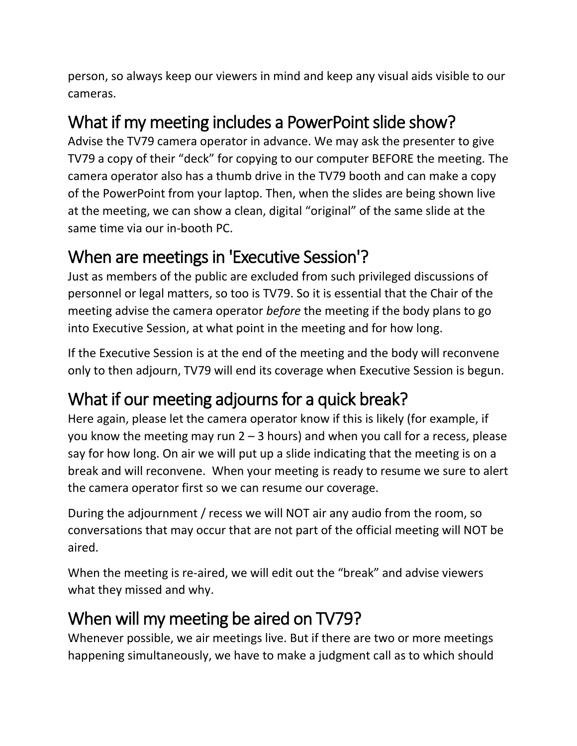person, so always keep our viewers in mind and keep any visual aids visible to our cameras.

#### What if my meeting includes a PowerPoint slide show?

Advise the TV79 camera operator in advance. We may ask the presenter to give TV79 a copy of their "deck" for copying to our computer BEFORE the meeting. The camera operator also has a thumb drive in the TV79 booth and can make a copy of the PowerPoint from your laptop. Then, when the slides are being shown live at the meeting, we can show a clean, digital "original" of the same slide at the same time via our in-booth PC.

#### When are meetings in 'Executive Session'?

Just as members of the public are excluded from such privileged discussions of personnel or legal matters, so too is TV79. So it is essential that the Chair of the meeting advise the camera operator *before* the meeting if the body plans to go into Executive Session, at what point in the meeting and for how long.

If the Executive Session is at the end of the meeting and the body will reconvene only to then adjourn, TV79 will end its coverage when Executive Session is begun.

### What if our meeting adjourns for a quick break?

Here again, please let the camera operator know if this is likely (for example, if you know the meeting may run  $2 - 3$  hours) and when you call for a recess, please say for how long. On air we will put up a slide indicating that the meeting is on a break and will reconvene. When your meeting is ready to resume we sure to alert the camera operator first so we can resume our coverage.

During the adjournment / recess we will NOT air any audio from the room, so conversations that may occur that are not part of the official meeting will NOT be aired.

When the meeting is re-aired, we will edit out the "break" and advise viewers what they missed and why.

#### When will my meeting be aired on TV79?

Whenever possible, we air meetings live. But if there are two or more meetings happening simultaneously, we have to make a judgment call as to which should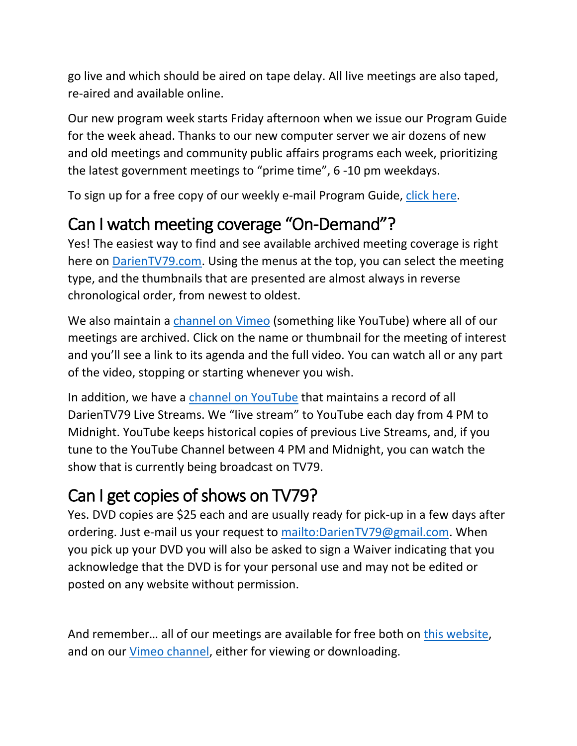go live and which should be aired on tape delay. All live meetings are also taped, re-aired and available online.

Our new program week starts Friday afternoon when we issue our Program Guide for the week ahead. Thanks to our new computer server we air dozens of new and old meetings and community public affairs programs each week, prioritizing the latest government meetings to "prime time", 6 -10 pm weekdays.

To sign up for a free copy of our weekly e-mail Program Guide, [click here.](https://darientv79.com/get-the-weekly-program-guide-email/)

#### Can I watch meeting coverage "On-Demand"?

Yes! The easiest way to find and see available archived meeting coverage is right here on [DarienTV79.com.](https://darientv79.com/) Using the menus at the top, you can select the meeting type, and the thumbnails that are presented are almost always in reverse chronological order, from newest to oldest.

We also maintain a [channel on Vimeo](https://vimeo.com/user36218936/videos) (something like YouTube) where all of our meetings are archived. Click on the name or thumbnail for the meeting of interest and you'll see a link to its agenda and the full video. You can watch all or any part of the video, stopping or starting whenever you wish.

In addition, we have a [channel on YouTube](https://www.youtube.com/channel/UCgwqG6dyDijz_c-TL5-mewQ/featured) that maintains a record of all DarienTV79 Live Streams. We "live stream" to YouTube each day from 4 PM to Midnight. YouTube keeps historical copies of previous Live Streams, and, if you tune to the YouTube Channel between 4 PM and Midnight, you can watch the show that is currently being broadcast on TV79.

### Can I get copies of shows on TV79?

Yes. DVD copies are \$25 each and are usually ready for pick-up in a few days after ordering. Just e-mail us your request to [mailto:DarienTV79@gmail.com.](mailto:DarienTV79@gmail.com) When you pick up your DVD you will also be asked to sign a Waiver indicating that you acknowledge that the DVD is for your personal use and may not be edited or posted on any website without permission.

And remember… all of our meetings are available for free both on this [website,](https://darientv79.com/get-the-weekly-program-guide-email/) and on our [Vimeo channel,](https://vimeo.com/user36218936/videos) either for viewing or downloading.